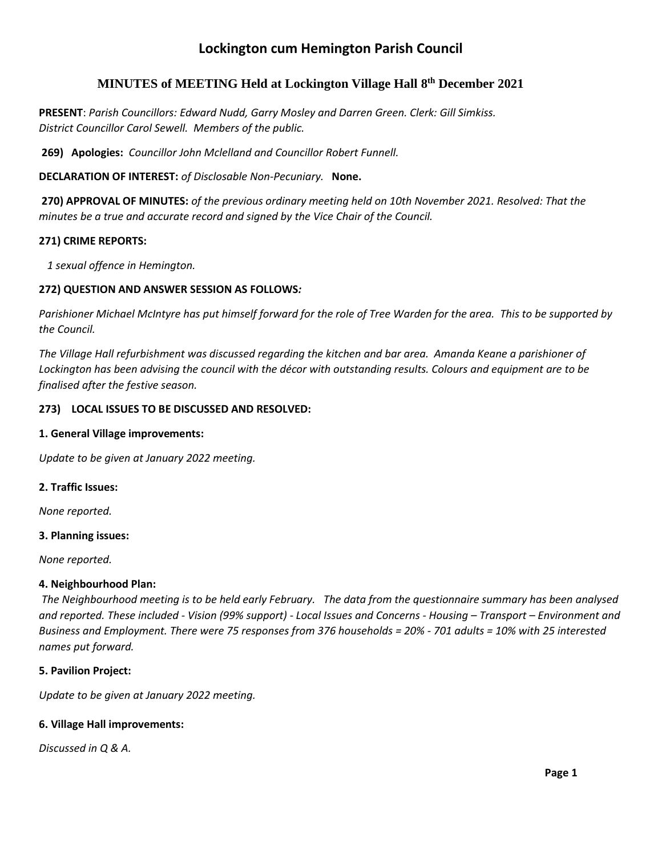# **Lockington cum Hemington Parish Council**

## **MINUTES of MEETING Held at Lockington Village Hall 8 th December 2021**

**PRESENT**: *Parish Councillors: Edward Nudd, Garry Mosley and Darren Green. Clerk: Gill Simkiss. District Councillor Carol Sewell. Members of the public.*

**269) Apologies:** *Councillor John Mclelland and Councillor Robert Funnell.*

**DECLARATION OF INTEREST:** *of Disclosable Non-Pecuniary.* **None.**

**270) APPROVAL OF MINUTES:** *of the previous ordinary meeting held on 10th November 2021. Resolved: That the minutes be a true and accurate record and signed by the Vice Chair of the Council.*

## **271) CRIME REPORTS:**

 *1 sexual offence in Hemington.*

## **272) QUESTION AND ANSWER SESSION AS FOLLOWS***:*

*Parishioner Michael McIntyre has put himself forward for the role of Tree Warden for the area. This to be supported by the Council.*

*The Village Hall refurbishment was discussed regarding the kitchen and bar area. Amanda Keane a parishioner of Lockington has been advising the council with the décor with outstanding results. Colours and equipment are to be finalised after the festive season.* 

## **273) LOCAL ISSUES TO BE DISCUSSED AND RESOLVED:**

## **1. General Village improvements:**

*Update to be given at January 2022 meeting.*

## **2. Traffic Issues:**

*None reported.*

## **3. Planning issues:**

*None reported.*

## **4. Neighbourhood Plan:**

*The Neighbourhood meeting is to be held early February. The data from the questionnaire summary has been analysed and reported. These included - Vision (99% support) - Local Issues and Concerns - Housing – Transport – Environment and Business and Employment. There were 75 responses from 376 households = 20% - 701 adults = 10% with 25 interested names put forward.*

## **5. Pavilion Project:**

*Update to be given at January 2022 meeting.*

## **6. Village Hall improvements:**

*Discussed in Q & A.*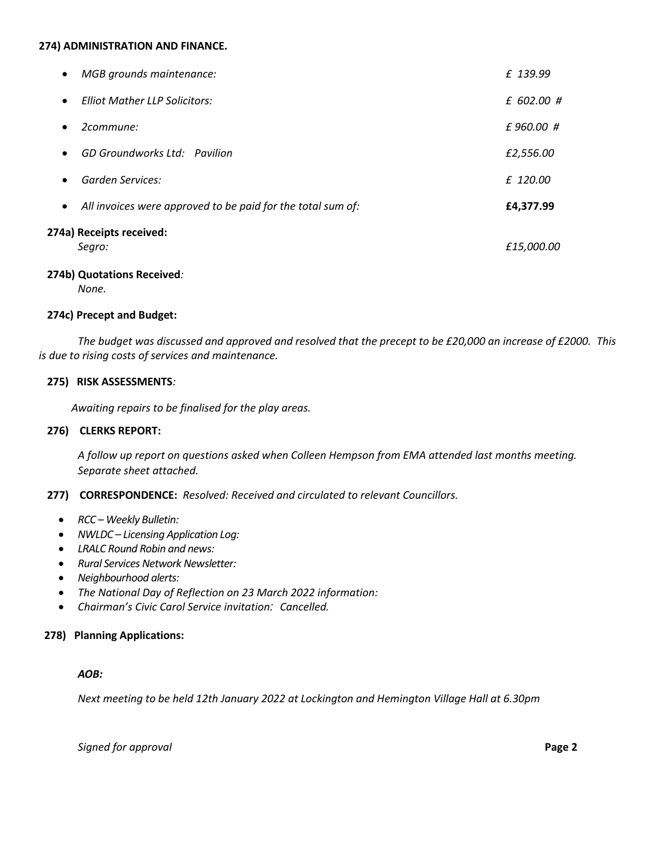#### **274) ADMINISTRATION AND FINANCE.**

| MGB grounds maintenance:<br>$\bullet$<br><b>Elliot Mather LLP Solicitors:</b> | £ 139.99<br>£ 602.00 # |
|-------------------------------------------------------------------------------|------------------------|
| $\bullet$                                                                     |                        |
| 2commune:<br>$\bullet$                                                        | £960.00 #              |
| GD Groundworks Ltd: Pavilion<br>$\bullet$                                     | £2,556.00              |
| Garden Services:<br>$\bullet$                                                 | £ 120.00               |
| All invoices were approved to be paid for the total sum of:<br>$\bullet$      | £4,377.99              |
| 274a) Receipts received:<br>Segro:                                            | £15,000.00             |

#### **274b) Quotations Received***:*

*None.*

## **274c) Precept and Budget:**

*The budget was discussed and approved and resolved that the precept to be £20,000 an increase of £2000. This is due to rising costs of services and maintenance.*

#### **275) RISK ASSESSMENTS***:*

 *Awaiting repairs to be finalised for the play areas.*

### **276) CLERKS REPORT:**

*A follow up report on questions asked when Colleen Hempson from EMA attended last months meeting. Separate sheet attached.*

## **277) CORRESPONDENCE:** *Resolved: Received and circulated to relevant Councillors.*

- *RCC – Weekly Bulletin:*
- *NWLDC – Licensing Application Log:*
- *LRALC Round Robin and news:*
- *Rural Services Network Newsletter:*
- *Neighbourhood alerts:*
- *The National Day of Reflection on 23 March 2022 information:*
- *Chairman's Civic Carol Service invitation: Cancelled.*

## **278) Planning Applications:**

#### *AOB:*

*Next meeting to be held 12th January 2022 at Lockington and Hemington Village Hall at 6.30pm*

*Signed for approval* **Page 2**